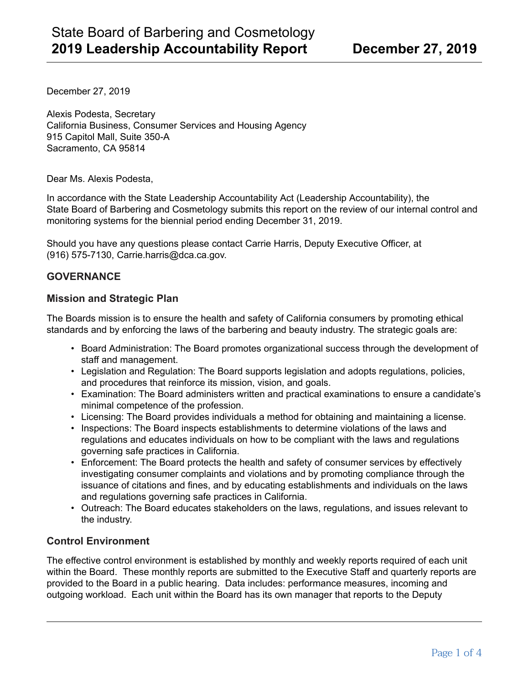December 27, 2019

Alexis Podesta, Secretary California Business, Consumer Services and Housing Agency 915 Capitol Mall, Suite 350-A Sacramento, CA 95814

Dear Ms. Alexis Podesta,

In accordance with the State Leadership Accountability Act (Leadership Accountability), the State Board of Barbering and Cosmetology submits this report on the review of our internal control and monitoring systems for the biennial period ending December 31, 2019.

Should you have any questions please contact Carrie Harris, Deputy Executive Officer, at (916) 575-7130, Carrie.harris@dca.ca.gov.

## **GOVERNANCE**

### **Mission and Strategic Plan**

The Boards mission is to ensure the health and safety of California consumers by promoting ethical standards and by enforcing the laws of the barbering and beauty industry. The strategic goals are:

- Board Administration: The Board promotes organizational success through the development of staff and management.
- Legislation and Regulation: The Board supports legislation and adopts regulations, policies, and procedures that reinforce its mission, vision, and goals.
- Examination: The Board administers written and practical examinations to ensure a candidate's minimal competence of the profession.
- Licensing: The Board provides individuals a method for obtaining and maintaining a license.
- Inspections: The Board inspects establishments to determine violations of the laws and regulations and educates individuals on how to be compliant with the laws and regulations governing safe practices in California.
- Enforcement: The Board protects the health and safety of consumer services by effectively investigating consumer complaints and violations and by promoting compliance through the issuance of citations and fines, and by educating establishments and individuals on the laws and regulations governing safe practices in California.
- Outreach: The Board educates stakeholders on the laws, regulations, and issues relevant to the industry.

## **Control Environment**

The effective control environment is established by monthly and weekly reports required of each unit within the Board. These monthly reports are submitted to the Executive Staff and quarterly reports are provided to the Board in a public hearing. Data includes: performance measures, incoming and outgoing workload. Each unit within the Board has its own manager that reports to the Deputy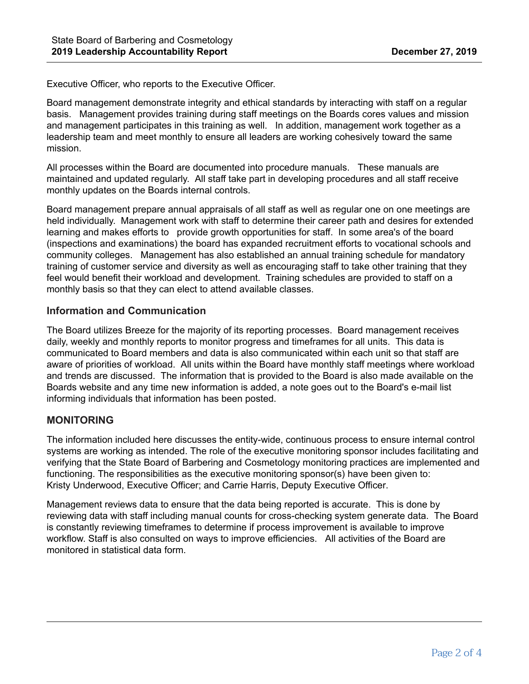Executive Officer, who reports to the Executive Officer.

Board management demonstrate integrity and ethical standards by interacting with staff on a regular basis. Management provides training during staff meetings on the Boards cores values and mission and management participates in this training as well. In addition, management work together as a leadership team and meet monthly to ensure all leaders are working cohesively toward the same mission.

All processes within the Board are documented into procedure manuals. These manuals are maintained and updated regularly. All staff take part in developing procedures and all staff receive monthly updates on the Boards internal controls.

Board management prepare annual appraisals of all staff as well as regular one on one meetings are held individually. Management work with staff to determine their career path and desires for extended learning and makes efforts to provide growth opportunities for staff. In some area's of the board (inspections and examinations) the board has expanded recruitment efforts to vocational schools and community colleges. Management has also established an annual training schedule for mandatory training of customer service and diversity as well as encouraging staff to take other training that they feel would benefit their workload and development. Training schedules are provided to staff on a monthly basis so that they can elect to attend available classes.

# **Information and Communication**

The Board utilizes Breeze for the majority of its reporting processes. Board management receives daily, weekly and monthly reports to monitor progress and timeframes for all units. This data is communicated to Board members and data is also communicated within each unit so that staff are aware of priorities of workload. All units within the Board have monthly staff meetings where workload and trends are discussed. The information that is provided to the Board is also made available on the Boards website and any time new information is added, a note goes out to the Board's e-mail list informing individuals that information has been posted.

# **MONITORING**

The information included here discusses the entity-wide, continuous process to ensure internal control systems are working as intended. The role of the executive monitoring sponsor includes facilitating and verifying that the State Board of Barbering and Cosmetology monitoring practices are implemented and functioning. The responsibilities as the executive monitoring sponsor(s) have been given to: Kristy Underwood, Executive Officer; and Carrie Harris, Deputy Executive Officer.

Management reviews data to ensure that the data being reported is accurate. This is done by reviewing data with staff including manual counts for cross-checking system generate data. The Board is constantly reviewing timeframes to determine if process improvement is available to improve workflow. Staff is also consulted on ways to improve efficiencies. All activities of the Board are monitored in statistical data form.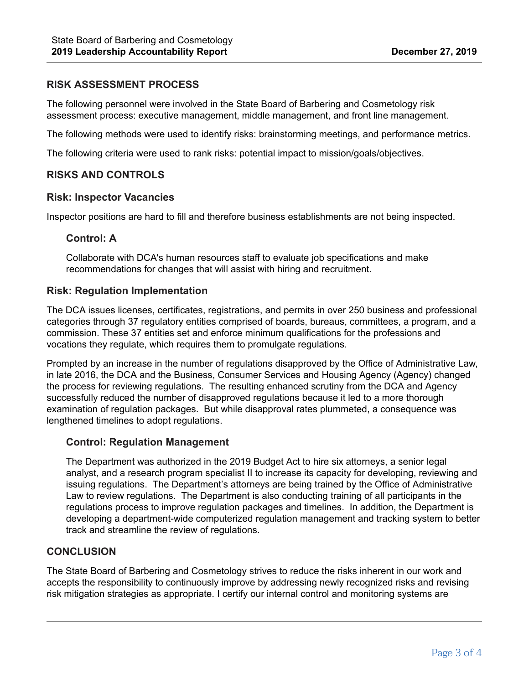# **RISK ASSESSMENT PROCESS**

The following personnel were involved in the State Board of Barbering and Cosmetology risk assessment process: executive management, middle management, and front line management.

The following methods were used to identify risks: brainstorming meetings, and performance metrics.

The following criteria were used to rank risks: potential impact to mission/goals/objectives.

## **RISKS AND CONTROLS**

#### **Risk: Inspector Vacancies**

Inspector positions are hard to fill and therefore business establishments are not being inspected.

### **Control: A**

Collaborate with DCA's human resources staff to evaluate job specifications and make recommendations for changes that will assist with hiring and recruitment.

### **Risk: Regulation Implementation**

The DCA issues licenses, certificates, registrations, and permits in over 250 business and professional categories through 37 regulatory entities comprised of boards, bureaus, committees, a program, and a commission. These 37 entities set and enforce minimum qualifications for the professions and vocations they regulate, which requires them to promulgate regulations.

Prompted by an increase in the number of regulations disapproved by the Office of Administrative Law, in late 2016, the DCA and the Business, Consumer Services and Housing Agency (Agency) changed the process for reviewing regulations. The resulting enhanced scrutiny from the DCA and Agency successfully reduced the number of disapproved regulations because it led to a more thorough examination of regulation packages. But while disapproval rates plummeted, a consequence was lengthened timelines to adopt regulations.

### **Control: Regulation Management**

The Department was authorized in the 2019 Budget Act to hire six attorneys, a senior legal analyst, and a research program specialist II to increase its capacity for developing, reviewing and issuing regulations. The Department's attorneys are being trained by the Office of Administrative Law to review regulations. The Department is also conducting training of all participants in the regulations process to improve regulation packages and timelines. In addition, the Department is developing a department-wide computerized regulation management and tracking system to better track and streamline the review of regulations.

# **CONCLUSION**

The State Board of Barbering and Cosmetology strives to reduce the risks inherent in our work and accepts the responsibility to continuously improve by addressing newly recognized risks and revising risk mitigation strategies as appropriate. I certify our internal control and monitoring systems are